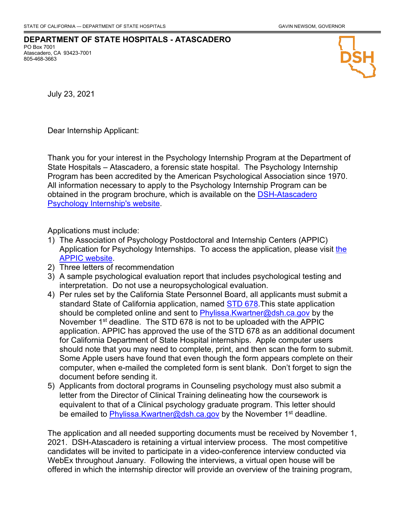## **DEPARTMENT OF STATE HOSPITALS - ATASCADERO**

PO Box 7001 Atascadero, CA 93423-7001 805-468-3663



July 23, 2021

Dear Internship Applicant:

Thank you for your interest in the Psychology Internship Program at the Department of State Hospitals – Atascadero, a forensic state hospital. The Psychology Internship Program has been accredited by the American Psychological Association since 1970. All information necessary to apply to the Psychology Internship Program can be obtained in the program brochure, which is available on the **DSH-Atascadero Psychology Internship's website.** Program has been accredited by the American Psychological Association since 1970. All information necessary to apply to the Psychology Internship Program

Applications must include:

- 1) The Association of Psychology Postdoctoral and Internship Centers (APPIC) Application for Psychology Internships. To access the application, please visit the **[APPIC website.](https://www.appic.org/)** 
	- 2) Three letters of recommendation
	- 3) A sample psychological evaluation report that includes psychological testing and interpretation. Do not use a neuropsychological evaluation.
	- 4) Per rules set by the California State Personnel Board, all applicants must submit a standard State of California application, named <u>STD 678</u>.This state application should be completed online and sent to <u>Phylissa.Kwartner@dsh.ca.gov</u> by the November 1<sup>st</sup> deadline. The STD 678 is not to be uploaded with the APPIC application. APPIC has approved the use of the STD 678 as an additional document for California Department of State Hospital internships. Apple computer users should note that you may need to complete, print, and then scan the form to submit. Some Apple users have found that even though the form appears complete on their come Apple asers have found that even though the form appears complete on their<br>computer, when e-mailed the completed form is sent blank. Don't forget to sign the document before sending it. before sending it.
- 5) Applicants from doctoral programs in Counseling psychology must also submit a is the Director of Clinical Training delineating how the coursework is equivalent to that of a Clinical psychology graduate program. This letter should be emailed to <u>Phylissa.Kwartner@dsh.ca.gov</u> by the November 1<sup>st</sup> deadline.

The application and all needed supporting documents must be received by November 1, 2021. DSH-Atascadero is retaining a virtual interview process. The most competitive candidates will be invited to participate in a video-conference interview conducted via WebEx throughout January. Following the interviews, a virtual open house will be offered in which the internship director will provide an overview of the training program,